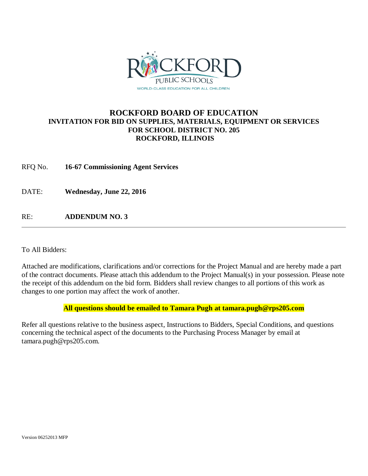

# **ROCKFORD BOARD OF EDUCATION INVITATION FOR BID ON SUPPLIES, MATERIALS, EQUIPMENT OR SERVICES FOR SCHOOL DISTRICT NO. 205 ROCKFORD, ILLINOIS**

RFQ No. **16-67 Commissioning Agent Services**

DATE: **Wednesday, June 22, 2016**

RE: **ADDENDUM NO. 3**

To All Bidders:

Attached are modifications, clarifications and/or corrections for the Project Manual and are hereby made a part of the contract documents. Please attach this addendum to the Project Manual(s) in your possession. Please note the receipt of this addendum on the bid form. Bidders shall review changes to all portions of this work as changes to one portion may affect the work of another.

## **All questions should be emailed to Tamara Pugh at tamara.pugh@rps205.com**

Refer all questions relative to the business aspect, Instructions to Bidders, Special Conditions, and questions concerning the technical aspect of the documents to the Purchasing Process Manager by email at tamara.pugh@rps205.com.